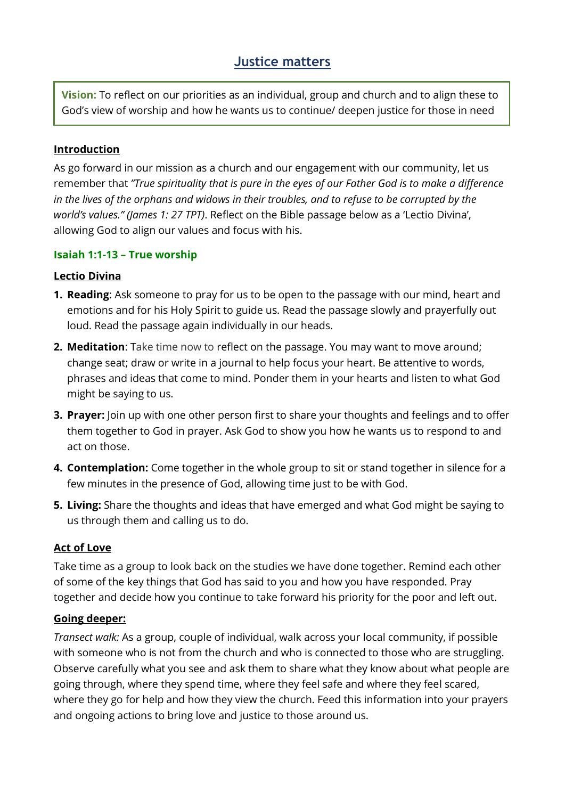# **Justice matters**

**Vision:** To reflect on our priorities as an individual, group and church and to align these to God's view of worship and how he wants us to continue/ deepen justice for those in need

#### **Introduction**

As go forward in our mission as a church and our engagement with our community, let us remember that *"True spirituality that is pure in the eyes of our Father God is to make a difference in the lives of the orphans and widows in their troubles, and to refuse to be corrupted by the world's values." (James 1: 27 TPT)*. Reflect on the Bible passage below as a 'Lectio Divina', allowing God to align our values and focus with his.

#### **Isaiah 1:1-13 – True worship**

#### **Lectio Divina**

- **1. Reading**: Ask someone to pray for us to be open to the passage with our mind, heart and emotions and for his Holy Spirit to guide us. Read the passage slowly and prayerfully out loud. Read the passage again individually in our heads.
- **2. Meditation**: Take time now to reflect on the passage. You may want to move around; change seat; draw or write in a journal to help focus your heart. Be attentive to words, phrases and ideas that come to mind. Ponder them in your hearts and listen to what God might be saying to us.
- **3. Prayer:** Join up with one other person first to share your thoughts and feelings and to offer them together to God in prayer. Ask God to show you how he wants us to respond to and act on those.
- **4. Contemplation:** Come together in the whole group to sit or stand together in silence for a few minutes in the presence of God, allowing time just to be with God.
- **5. Living:** Share the thoughts and ideas that have emerged and what God might be saying to us through them and calling us to do.

## **Act of Love**

Take time as a group to look back on the studies we have done together. Remind each other of some of the key things that God has said to you and how you have responded. Pray together and decide how you continue to take forward his priority for the poor and left out.

## **Going deeper:**

*Transect walk:* As a group, couple of individual, walk across your local community, if possible with someone who is not from the church and who is connected to those who are struggling. Observe carefully what you see and ask them to share what they know about what people are going through, where they spend time, where they feel safe and where they feel scared, where they go for help and how they view the church. Feed this information into your prayers and ongoing actions to bring love and justice to those around us.